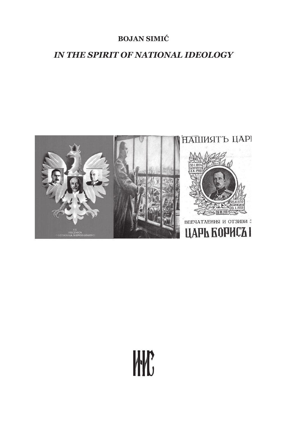### **BOJAN SIMIĆ**

## *IN THE SPIRIT OF NATIONAL IDEOLOGY*



# W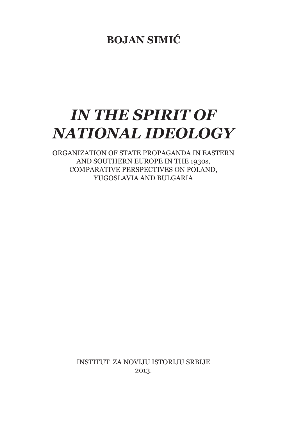# **BOJAN SIMIĆ**

# *IN THE SPIRIT OF NATIONAL IDEOLOGY*

ORGANIZATION OF STATE PROPAGANDA IN EASTERN AND SOUTHERN EUROPE IN THE 1930s, COMPARATIVE PERSPECTIVES ON POLAND, YUGOSLAVIA AND BULGARIA

> INSTITUT ZA NOVIJU ISTORIJU SRBIJE 2013.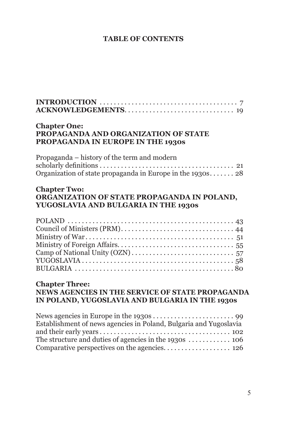#### **TABLE OF CONTENTS**

| <b>Chapter One:</b><br>PROPAGANDA AND ORGANIZATION OF STATE<br>PROPAGANDA IN EUROPE IN THE 1930s                                   |
|------------------------------------------------------------------------------------------------------------------------------------|
| Propaganda – history of the term and modern                                                                                        |
| Organization of state propaganda in Europe in the $1930s$ 28<br><b>Chapter Two:</b><br>ORGANIZATION OF STATE PROPAGANDA IN POLAND, |
| YUGOSLAVIA AND BULGARIA IN THE 1930s                                                                                               |
|                                                                                                                                    |
| <b>Chapter Three:</b><br>NEWS AGENCIES IN THE SERVICE OF STATE PROPAGANDA<br>IN POLAND, YUGOSLAVIA AND BULGARIA IN THE 1930s       |
| Establishment of news agencies in Poland, Bulgaria and Yugoslavia                                                                  |

and their early years. . . 102 The structure and duties of agencies in the 1930s  $\dots\dots\dots\dots$  106 Comparative perspectives on the agencies. . . . . . . . . . . . . . . . . . 126